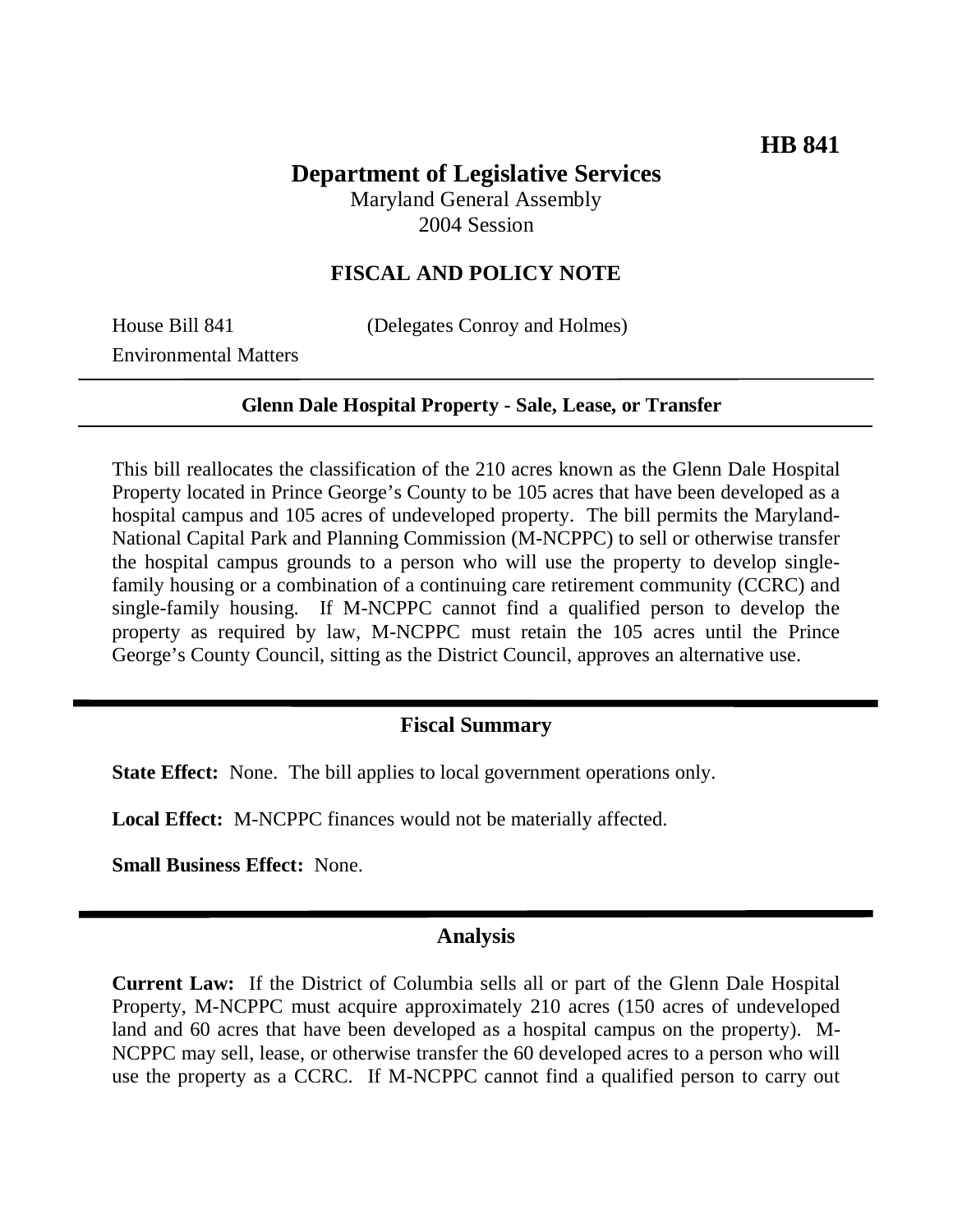# **Department of Legislative Services**  Maryland General Assembly 2004 Session

### **FISCAL AND POLICY NOTE**

Environmental Matters

House Bill 841 (Delegates Conroy and Holmes)

### **Glenn Dale Hospital Property - Sale, Lease, or Transfer**

This bill reallocates the classification of the 210 acres known as the Glenn Dale Hospital Property located in Prince George's County to be 105 acres that have been developed as a hospital campus and 105 acres of undeveloped property. The bill permits the Maryland-National Capital Park and Planning Commission (M-NCPPC) to sell or otherwise transfer the hospital campus grounds to a person who will use the property to develop singlefamily housing or a combination of a continuing care retirement community (CCRC) and single-family housing. If M-NCPPC cannot find a qualified person to develop the property as required by law, M-NCPPC must retain the 105 acres until the Prince George's County Council, sitting as the District Council, approves an alternative use.

## **Fiscal Summary**

**State Effect:** None. The bill applies to local government operations only.

**Local Effect:** M-NCPPC finances would not be materially affected.

**Small Business Effect:** None.

### **Analysis**

**Current Law:** If the District of Columbia sells all or part of the Glenn Dale Hospital Property, M-NCPPC must acquire approximately 210 acres (150 acres of undeveloped land and 60 acres that have been developed as a hospital campus on the property). M-NCPPC may sell, lease, or otherwise transfer the 60 developed acres to a person who will use the property as a CCRC. If M-NCPPC cannot find a qualified person to carry out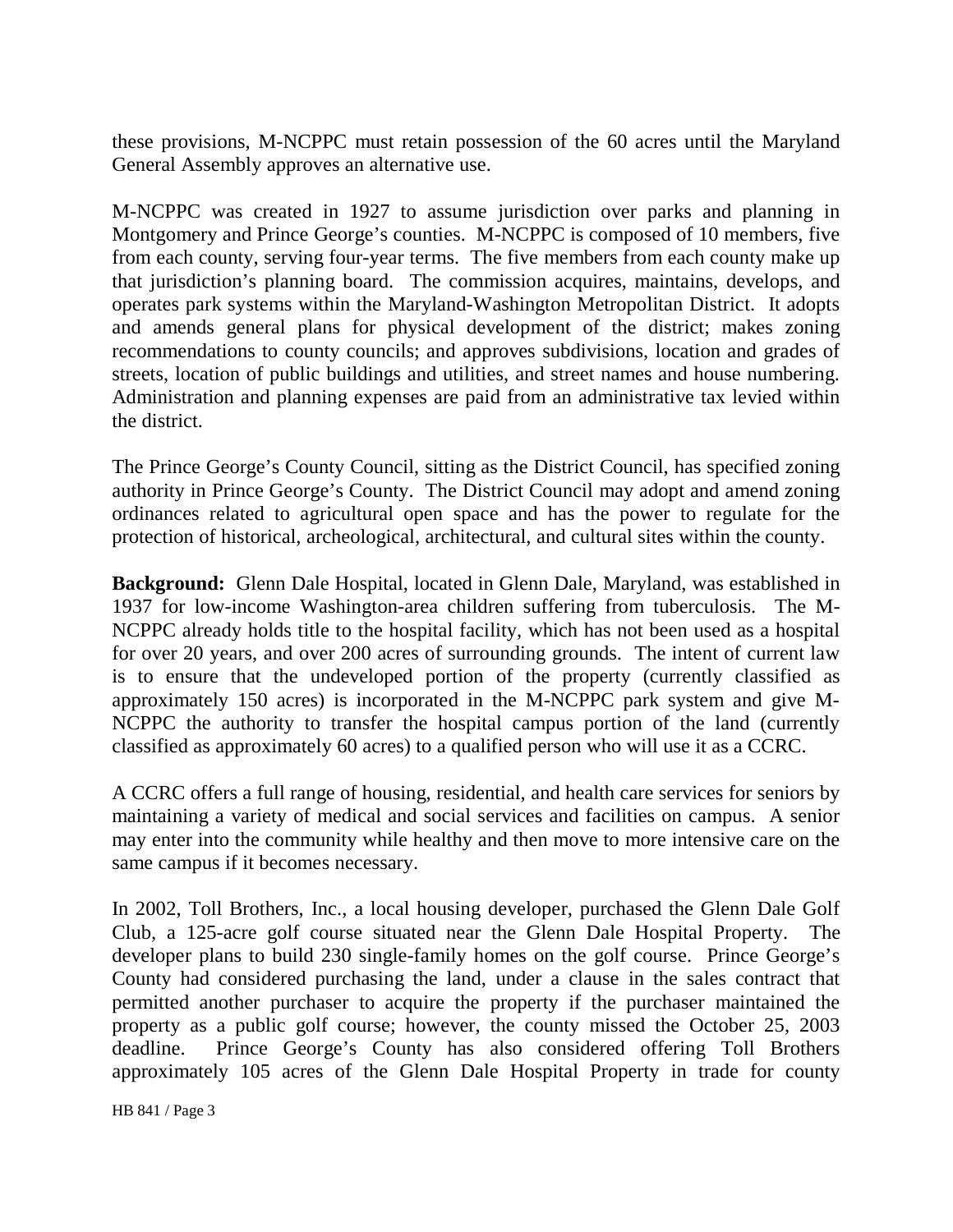these provisions, M-NCPPC must retain possession of the 60 acres until the Maryland General Assembly approves an alternative use.

M-NCPPC was created in 1927 to assume jurisdiction over parks and planning in Montgomery and Prince George's counties. M-NCPPC is composed of 10 members, five from each county, serving four-year terms. The five members from each county make up that jurisdiction's planning board. The commission acquires, maintains, develops, and operates park systems within the Maryland-Washington Metropolitan District. It adopts and amends general plans for physical development of the district; makes zoning recommendations to county councils; and approves subdivisions, location and grades of streets, location of public buildings and utilities, and street names and house numbering. Administration and planning expenses are paid from an administrative tax levied within the district.

The Prince George's County Council, sitting as the District Council, has specified zoning authority in Prince George's County. The District Council may adopt and amend zoning ordinances related to agricultural open space and has the power to regulate for the protection of historical, archeological, architectural, and cultural sites within the county.

**Background:** Glenn Dale Hospital, located in Glenn Dale, Maryland, was established in 1937 for low-income Washington-area children suffering from tuberculosis. The M-NCPPC already holds title to the hospital facility, which has not been used as a hospital for over 20 years, and over 200 acres of surrounding grounds. The intent of current law is to ensure that the undeveloped portion of the property (currently classified as approximately 150 acres) is incorporated in the M-NCPPC park system and give M-NCPPC the authority to transfer the hospital campus portion of the land (currently classified as approximately 60 acres) to a qualified person who will use it as a CCRC.

A CCRC offers a full range of housing, residential, and health care services for seniors by maintaining a variety of medical and social services and facilities on campus. A senior may enter into the community while healthy and then move to more intensive care on the same campus if it becomes necessary.

In 2002, Toll Brothers, Inc., a local housing developer, purchased the Glenn Dale Golf Club, a 125-acre golf course situated near the Glenn Dale Hospital Property. The developer plans to build 230 single-family homes on the golf course. Prince George's County had considered purchasing the land, under a clause in the sales contract that permitted another purchaser to acquire the property if the purchaser maintained the property as a public golf course; however, the county missed the October 25, 2003 deadline. Prince George's County has also considered offering Toll Brothers approximately 105 acres of the Glenn Dale Hospital Property in trade for county